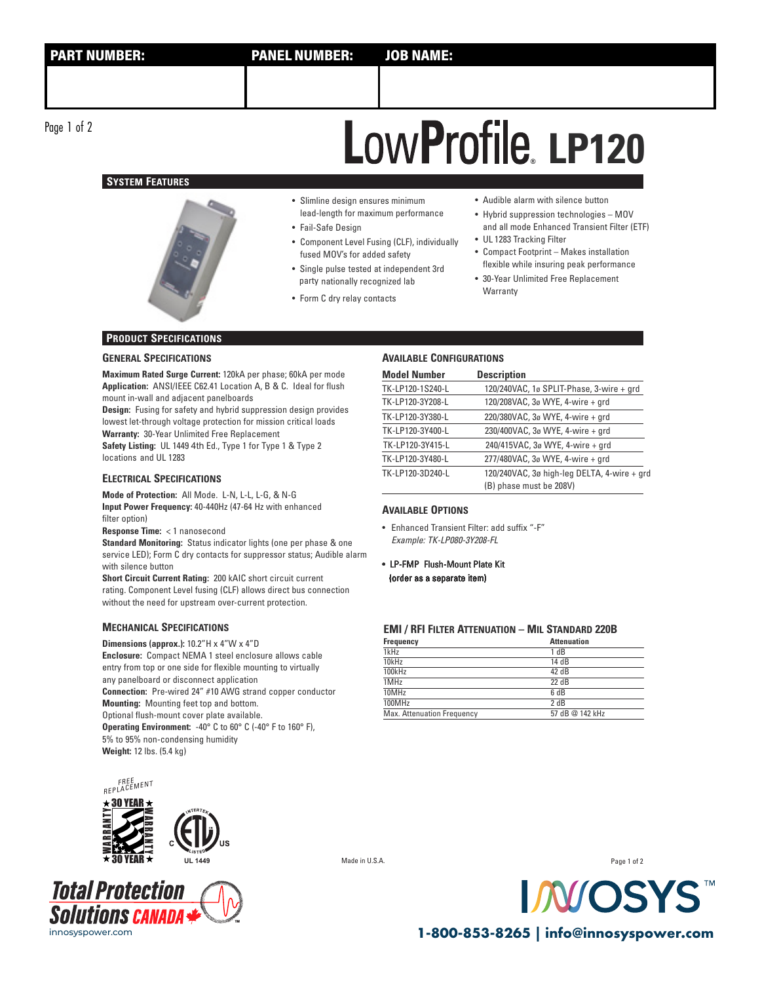Page 1 of 2

# **SYSTEM FEATURES**



# **LP120 ®**

- Slimline design ensures minimum lead-length for maximum performance
- Fail-Safe Design
- Component Level Fusing (CLF), individually fused MOV's for added safety
- Single pulse tested at independent 3rd party nationally recognized lab
- Form C dry relay contacts
- Audible alarm with silence button
- Hybrid suppression technologies MOV and all mode Enhanced Transient Filter (ETF)
- UL 1283 Tracking Filter • Compact Footprint – Makes installation flexible while insuring peak performance
- 30-Year Unlimited Free Replacement Warranty

# **PRODUCT SPECIFICATIONS**

## **GENERAL SPECIFICATIONS**

**Maximum Rated Surge Current:** 120kA per phase; 60kA per mode **Application:** ANSI/IEEE C62.41 Location A, B & C. Ideal for flush mount in-wall and adjacent panelboards

**Design:** Fusing for safety and hybrid suppression design provides lowest let-through voltage protection for mission critical loads **Warranty:** 30-Year Unlimited Free Replacement

**Safety Listing:** UL 1449 4th Ed., Type 1 for Type 1 & Type 2 locations and UL 1283

# **ELECTRICAL SPECIFICATIONS**

**Mode of Protection:** All Mode. L-N, L-L, L-G, & N-G **Input Power Frequency:** 40-440Hz (47-64 Hz with enhanced filter option)

**Response Time:** < 1 nanosecond

**Standard Monitoring:** Status indicator lights (one per phase & one service LED); Form C dry contacts for suppressor status; Audible alarm with silence button

**Short Circuit Current Rating:** 200 kAIC short circuit current rating. Component Level fusing (CLF) allows direct bus connection without the need for upstream over-current protection.

## **MECHANICAL SPECIFICATIONS**

**Dimensions (approx.):** 10.2"H x 4"W x 4"D

**Enclosure:** Compact NEMA 1 steel enclosure allows cable entry from top or one side for flexible mounting to virtually any panelboard or disconnect application **Connection:** Pre-wired 24" #10 AWG strand copper conductor **Mounting:** Mounting feet top and bottom. Optional flush-mount cover plate available. **Operating Environment:** -40° C to 60° C (-40° F to 160° F), 5% to 95% non-condensing humidity **Weight:** 12 lbs. (5.4 kg)

# **AVAILABLE CONFIGURATIONS**

| <b>Model Number</b> | <b>Description</b>                          |
|---------------------|---------------------------------------------|
| TK-LP120-1S240-L    | 120/240VAC, 1ø SPLIT-Phase, 3-wire + grd    |
| TK-LP120-3Y208-L    | 120/208VAC, 3ø WYE, 4-wire + grd            |
| TK-LP120-3Y380-L    | 220/380VAC, 3ø WYE, 4-wire + grd            |
| TK-LP120-3Y400-L    | 230/400VAC, 3ø WYE, 4-wire + grd            |
| TK-LP120-3Y415-L    | 240/415VAC, 3ø WYE, 4-wire + grd            |
| TK-LP120-3Y480-L    | 277/480VAC, 3ø WYE, 4-wire + grd            |
| TK-LP120-3D240-L    | 120/240VAC, 3ø high-leg DELTA, 4-wire + grd |
|                     | (B) phase must be 208V)                     |

#### **AVAILABLE OPTIONS**

- Enhanced Transient Filter: add suffix "-F" Example: TK-LP080-3Y208-FL
- LP-FMP Flush-Mount Plate Kit (order as a separate item)

## **EMI / RFI FILTER ATTENUATION – MIL STANDARD 220B**

| Frequency                  | <b>Attenuation</b> |
|----------------------------|--------------------|
| 1kHz                       | 1 dB               |
| 10kHz                      | 14 dB              |
| 100kHz                     | 42 dB              |
| 1MHz                       | $22 \text{ dB}$    |
| 10MHz                      | 6 dB               |
| 100MHz                     | 2 dB               |
| Max. Attenuation Frequency | 57 dB @ 142 kHz    |
|                            |                    |







**UL 1449** Made in U.S.A.

Page 1 of 2



innosyspower.com **1-800-853-8265 | info@innosyspower.com**